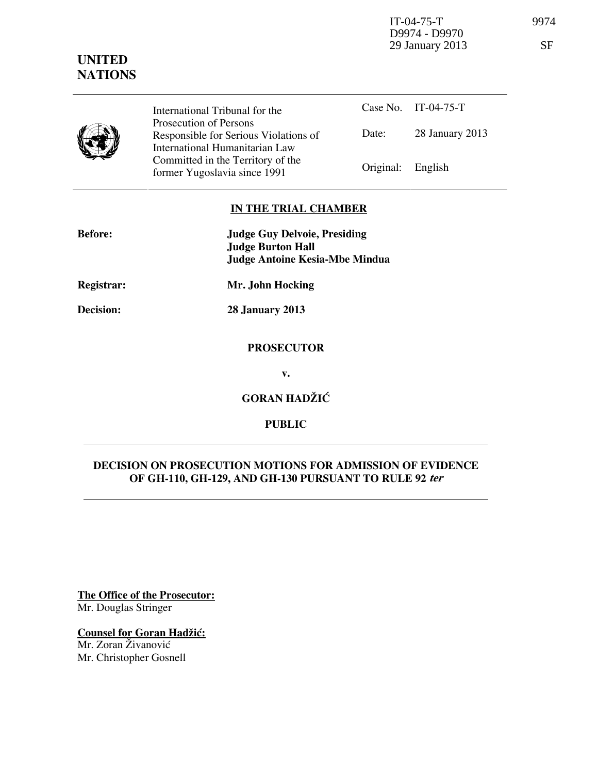IT-04-75-T 9974 D9974 - D9970 29 January 2013 SF

# **UNITED NATIONS**

| International Tribunal for the                                                                      |                   | Case No. IT-04-75-T |
|-----------------------------------------------------------------------------------------------------|-------------------|---------------------|
| Prosecution of Persons<br>Responsible for Serious Violations of                                     | Date:             | 28 January 2013     |
| International Humanitarian Law<br>Committed in the Territory of the<br>former Yugoslavia since 1991 | Original: English |                     |

## **IN THE TRIAL CHAMBER**

| <b>Before:</b> | <b>Judge Guy Delvoie, Presiding</b><br><b>Judge Burton Hall</b> |  |
|----------------|-----------------------------------------------------------------|--|
|                | <b>Judge Antoine Kesia-Mbe Mindua</b>                           |  |
| Registrar:     | Mr. John Hocking                                                |  |
| Decision:      | <b>28 January 2013</b>                                          |  |
|                | <b>PROSECUTOR</b>                                               |  |
|                | v.                                                              |  |
|                | <b>GORAN HADŽIĆ</b>                                             |  |
|                |                                                                 |  |

# **DECISION ON PROSECUTION MOTIONS FOR ADMISSION OF EVIDENCE OF GH-110, GH-129, AND GH-130 PURSUANT TO RULE 92 ter**

**PUBLIC** 

**The Office of the Prosecutor:** Mr. Douglas Stringer

**Counsel for Goran Hadžić:** Mr. Zoran Živanović

Mr. Christopher Gosnell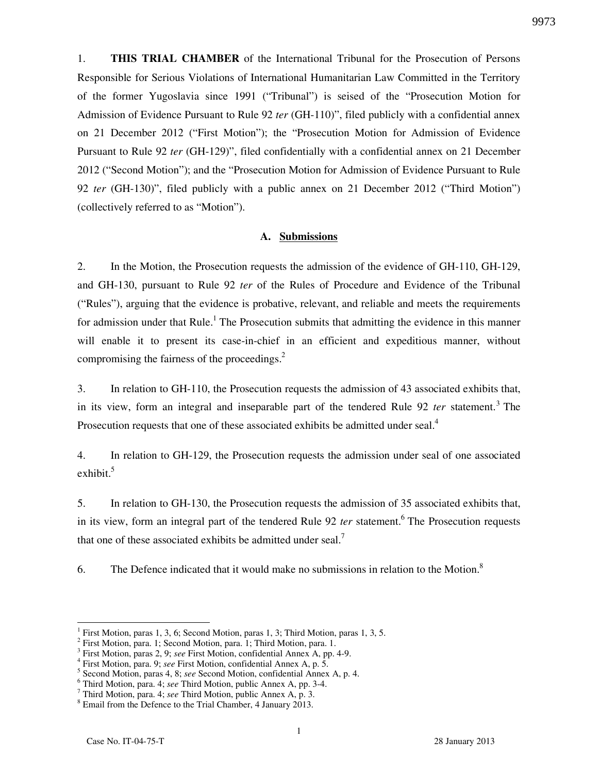1. **THIS TRIAL CHAMBER** of the International Tribunal for the Prosecution of Persons Responsible for Serious Violations of International Humanitarian Law Committed in the Territory of the former Yugoslavia since 1991 ("Tribunal") is seised of the "Prosecution Motion for Admission of Evidence Pursuant to Rule 92 *ter* (GH-110)", filed publicly with a confidential annex on 21 December 2012 ("First Motion"); the "Prosecution Motion for Admission of Evidence Pursuant to Rule 92 *ter* (GH-129)", filed confidentially with a confidential annex on 21 December 2012 ("Second Motion"); and the "Prosecution Motion for Admission of Evidence Pursuant to Rule 92 *ter* (GH-130)", filed publicly with a public annex on 21 December 2012 ("Third Motion") (collectively referred to as "Motion").

#### **A. Submissions**

2. In the Motion, the Prosecution requests the admission of the evidence of GH-110, GH-129, and GH-130, pursuant to Rule 92 *ter* of the Rules of Procedure and Evidence of the Tribunal ("Rules"), arguing that the evidence is probative, relevant, and reliable and meets the requirements for admission under that Rule.<sup>1</sup> The Prosecution submits that admitting the evidence in this manner will enable it to present its case-in-chief in an efficient and expeditious manner, without compromising the fairness of the proceedings. $2$ 

3. In relation to GH-110, the Prosecution requests the admission of 43 associated exhibits that, in its view, form an integral and inseparable part of the tendered Rule 92 *ter* statement.<sup>3</sup> The Prosecution requests that one of these associated exhibits be admitted under seal.<sup>4</sup>

4. In relation to GH-129, the Prosecution requests the admission under seal of one associated exhibit. $5$ 

5. In relation to GH-130, the Prosecution requests the admission of 35 associated exhibits that, in its view, form an integral part of the tendered Rule 92 *ter* statement.<sup>6</sup> The Prosecution requests that one of these associated exhibits be admitted under seal.<sup>7</sup>

6. The Defence indicated that it would make no submissions in relation to the Motion.<sup>8</sup>

 $\overline{a}$ 

9973

<sup>1</sup> First Motion, paras 1, 3, 6; Second Motion, paras 1, 3; Third Motion, paras 1, 3, 5.

<sup>2</sup> First Motion, para. 1; Second Motion, para. 1; Third Motion, para. 1.

<sup>3</sup> First Motion, paras 2, 9; *see* First Motion, confidential Annex A, pp. 4-9.

<sup>4</sup> First Motion, para. 9; *see* First Motion, confidential Annex A, p. 5.

<sup>5</sup> Second Motion, paras 4, 8; *see* Second Motion, confidential Annex A, p. 4.

<sup>6</sup> Third Motion, para. 4; *see* Third Motion, public Annex A, pp. 3-4.

<sup>7</sup> Third Motion, para. 4; *see* Third Motion, public Annex A, p. 3.

<sup>&</sup>lt;sup>8</sup> Email from the Defence to the Trial Chamber, 4 January 2013.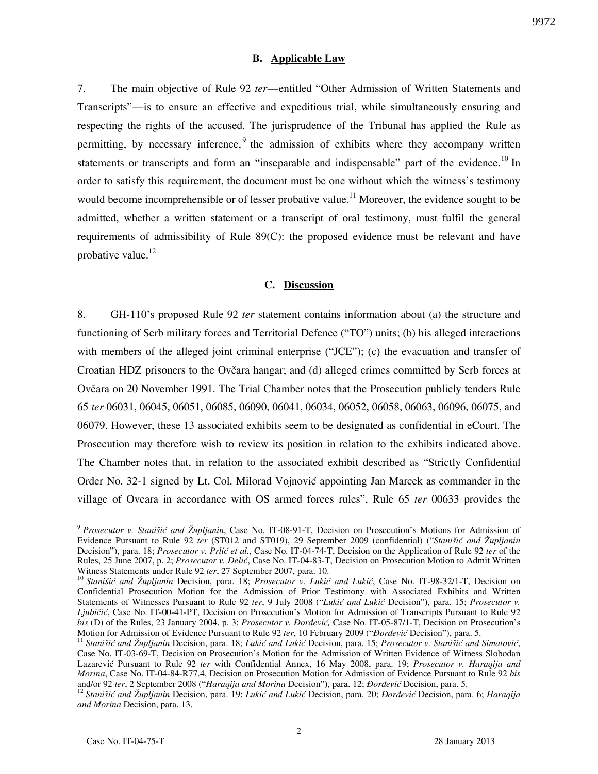#### **B. Applicable Law**

7. The main objective of Rule 92 *ter*—entitled "Other Admission of Written Statements and Transcripts"—is to ensure an effective and expeditious trial, while simultaneously ensuring and respecting the rights of the accused. The jurisprudence of the Tribunal has applied the Rule as permitting, by necessary inference,  $9$  the admission of exhibits where they accompany written statements or transcripts and form an "inseparable and indispensable" part of the evidence.<sup>10</sup> In order to satisfy this requirement, the document must be one without which the witness's testimony would become incomprehensible or of lesser probative value.<sup>11</sup> Moreover, the evidence sought to be admitted, whether a written statement or a transcript of oral testimony, must fulfil the general requirements of admissibility of Rule 89(C): the proposed evidence must be relevant and have probative value. $^{12}$ 

### **C. Discussion**

8. GH-110's proposed Rule 92 *ter* statement contains information about (a) the structure and functioning of Serb military forces and Territorial Defence ("TO") units; (b) his alleged interactions with members of the alleged joint criminal enterprise ("JCE"); (c) the evacuation and transfer of Croatian HDZ prisoners to the Ovčara hangar; and (d) alleged crimes committed by Serb forces at Ovčara on 20 November 1991. The Trial Chamber notes that the Prosecution publicly tenders Rule 65 *ter* 06031, 06045, 06051, 06085, 06090, 06041, 06034, 06052, 06058, 06063, 06096, 06075, and 06079. However, these 13 associated exhibits seem to be designated as confidential in eCourt. The Prosecution may therefore wish to review its position in relation to the exhibits indicated above. The Chamber notes that, in relation to the associated exhibit described as "Strictly Confidential Order No. 32-1 signed by Lt. Col. Milorad Vojnović appointing Jan Marcek as commander in the village of Ovcara in accordance with OS armed forces rules", Rule 65 *ter* 00633 provides the

 $\overline{a}$ 

<sup>9</sup> *Prosecutor v. Stanišić and Župljanin*, Case No. IT-08-91-T, Decision on Prosecution's Motions for Admission of Evidence Pursuant to Rule 92 *ter* (ST012 and ST019), 29 September 2009 (confidential) ("*Stanišić and Župljanin* Decision"), para. 18; *Prosecutor v. Prlić et al.*, Case No. IT-04-74-T, Decision on the Application of Rule 92 *ter* of the Rules, 25 June 2007, p. 2; *Prosecutor v. Delić*, Case No. IT-04-83-T, Decision on Prosecution Motion to Admit Written Witness Statements under Rule 92 *ter*, 27 September 2007, para. 10.

<sup>&</sup>lt;sup>10</sup> Stanišić and Župljanin Decision, para. 18; Prosecutor v. Lukić and Lukić, Case No. IT-98-32/1-T, Decision on Confidential Prosecution Motion for the Admission of Prior Testimony with Associated Exhibits and Written Statements of Witnesses Pursuant to Rule 92 ter, 9 July 2008 ("Lukić and Lukić Decision"), para. 15; *Prosecutor v. Ljubičić*, Case No. IT-00-41-PT, Decision on Prosecution's Motion for Admission of Transcripts Pursuant to Rule 92 *bis* (D) of the Rules, 23 January 2004, p. 3; *Prosecutor v. Đorđević*, Case No. IT-05-87/1-T, Decision on Prosecution's Motion for Admission of Evidence Pursuant to Rule 92 *ter*, 10 February 2009 ("*Dordević* Decision"), para. 5.

<sup>&</sup>lt;sup>11</sup> Stanišić and Župljanin Decision, para. 18; Lukić and Lukić Decision, para. 15; Prosecutor v. Stanišić and Simatović, Case No. IT-03-69-T, Decision on Prosecution's Motion for the Admission of Written Evidence of Witness Slobodan Lazarevi} Pursuant to Rule 92 *ter* with Confidential Annex, 16 May 2008, para. 19; *Prosecutor v. Haraqija and Morina*, Case No. IT-04-84-R77.4, Decision on Prosecution Motion for Admission of Evidence Pursuant to Rule 92 *bis* and/or 92 ter, 2 September 2008 ("Haraqija and Morina Decision"), para. 12; *Đorđević* Decision, para. 5.

<sup>&</sup>lt;sup>12</sup> Stanišić and Župljanin Decision, para. 19; Lukić and Lukić Decision, para. 20; *Đorđević* Decision, para. 6; *Haraqija and Morina* Decision, para. 13.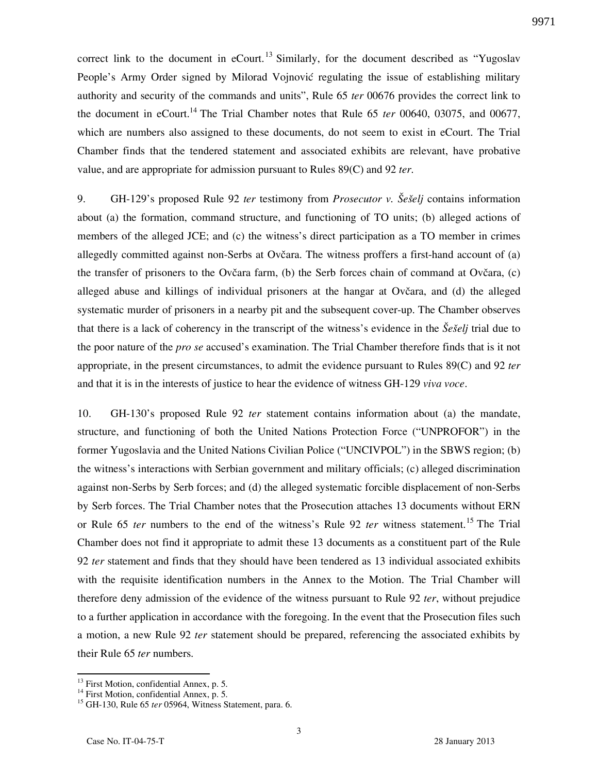correct link to the document in eCourt.<sup>13</sup> Similarly, for the document described as "Yugoslav" People's Army Order signed by Milorad Vojnović regulating the issue of establishing military authority and security of the commands and units", Rule 65 *ter* 00676 provides the correct link to the document in eCourt.<sup>14</sup> The Trial Chamber notes that Rule 65 *ter* 00640, 03075, and 00677, which are numbers also assigned to these documents, do not seem to exist in eCourt. The Trial Chamber finds that the tendered statement and associated exhibits are relevant, have probative value, and are appropriate for admission pursuant to Rules 89(C) and 92 *ter*.

9. GH-129's proposed Rule 92 *ter* testimony from *Prosecutor v. Šešelj* contains information about (a) the formation, command structure, and functioning of TO units; (b) alleged actions of members of the alleged JCE; and (c) the witness's direct participation as a TO member in crimes allegedly committed against non-Serbs at Ovčara. The witness proffers a first-hand account of (a) the transfer of prisoners to the Ovčara farm, (b) the Serb forces chain of command at Ovčara, (c) alleged abuse and killings of individual prisoners at the hangar at Ovčara, and (d) the alleged systematic murder of prisoners in a nearby pit and the subsequent cover-up. The Chamber observes that there is a lack of coherency in the transcript of the witness's evidence in the *Šešelj* trial due to the poor nature of the *pro se* accused's examination. The Trial Chamber therefore finds that is it not appropriate, in the present circumstances, to admit the evidence pursuant to Rules 89(C) and 92 *ter* and that it is in the interests of justice to hear the evidence of witness GH-129 *viva voce*.

10. GH-130's proposed Rule 92 *ter* statement contains information about (a) the mandate, structure, and functioning of both the United Nations Protection Force ("UNPROFOR") in the former Yugoslavia and the United Nations Civilian Police ("UNCIVPOL") in the SBWS region; (b) the witness's interactions with Serbian government and military officials; (c) alleged discrimination against non-Serbs by Serb forces; and (d) the alleged systematic forcible displacement of non-Serbs by Serb forces. The Trial Chamber notes that the Prosecution attaches 13 documents without ERN or Rule 65 *ter* numbers to the end of the witness's Rule 92 *ter* witness statement.<sup>15</sup> The Trial Chamber does not find it appropriate to admit these 13 documents as a constituent part of the Rule 92 *ter* statement and finds that they should have been tendered as 13 individual associated exhibits with the requisite identification numbers in the Annex to the Motion. The Trial Chamber will therefore deny admission of the evidence of the witness pursuant to Rule 92 *ter*, without prejudice to a further application in accordance with the foregoing. In the event that the Prosecution files such a motion, a new Rule 92 *ter* statement should be prepared, referencing the associated exhibits by their Rule 65 *ter* numbers.

<sup>&</sup>lt;sup>13</sup> First Motion, confidential Annex, p. 5.

<sup>&</sup>lt;sup>14</sup> First Motion, confidential Annex, p. 5.

<sup>15</sup> GH-130, Rule 65 *ter* 05964, Witness Statement, para. 6.